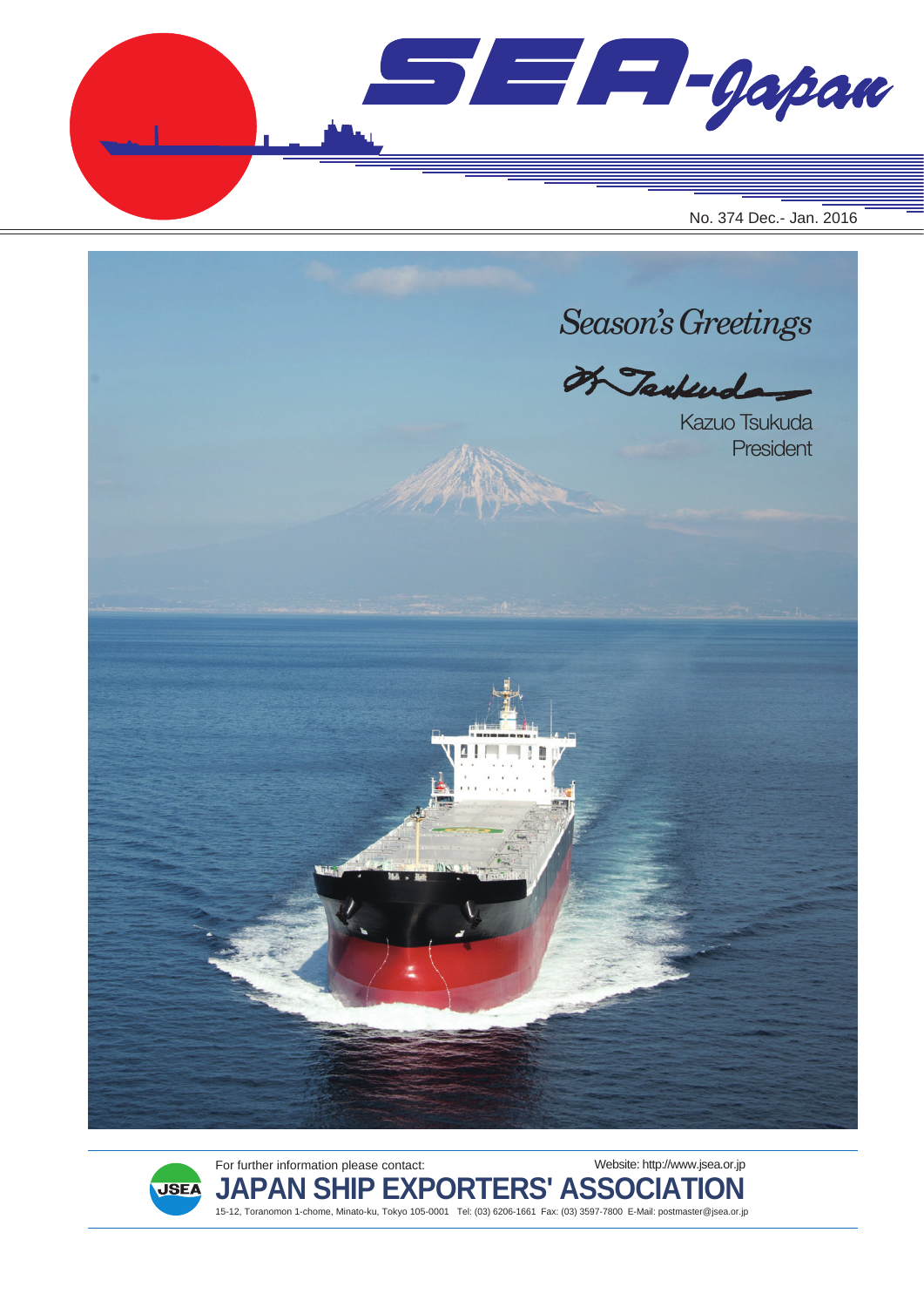$\blacksquare$  $\blacksquare$  $\blacksquare$  $\blacksquare$ No. 374 Dec.- Jan. 2016





For further information please contact: **JAPAN SHIP EXPORTERS' ASSOCIATION** 15-12, Toranomon 1-chome, Minato-ku, Tokyo 105-0001 Tel: (03) 6206-1661 Fax: (03) 3597-7800 E-Mail: postmaster@jsea.or.jp Website: http://www.jsea.or.jp